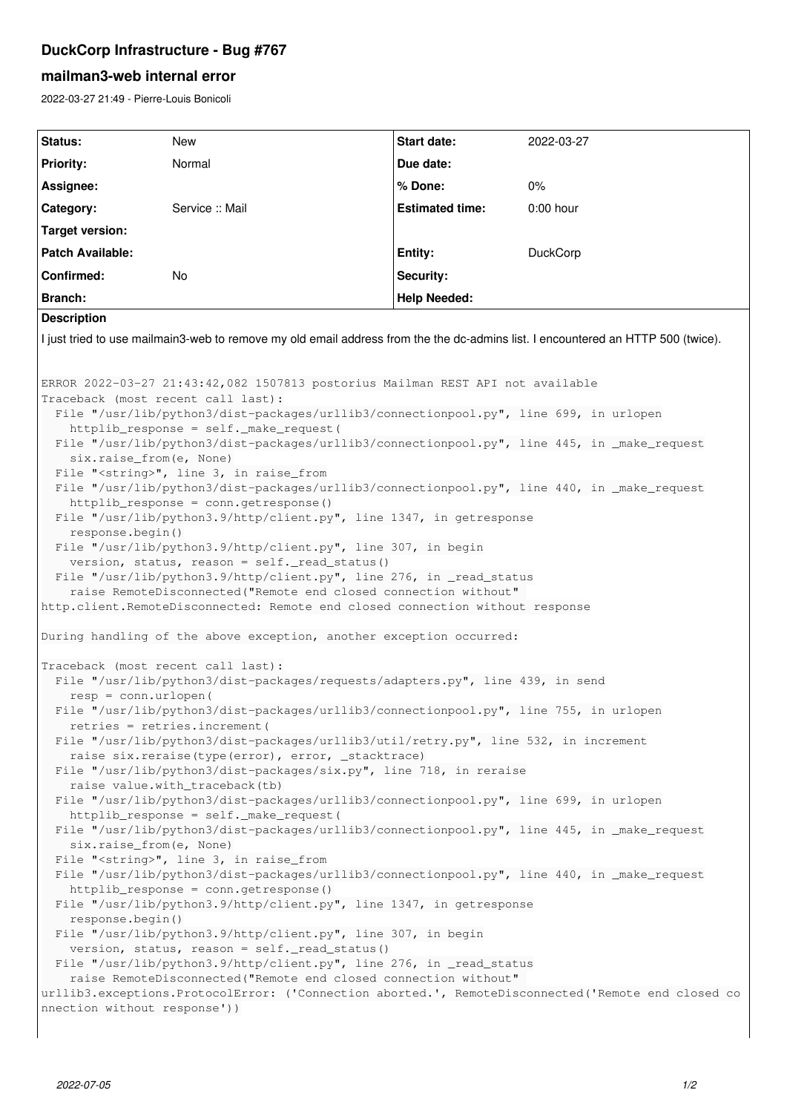## **DuckCorp Infrastructure - Bug #767**

## **mailman3-web internal error**

2022-03-27 21:49 - Pierre-Louis Bonicoli

| Status:                                                                                                                                                                                                                                                                                                                                                                                                                                                                                                                                                                                                                                                                                                                                                                                                                                                                                                                                                                                                                                                                                                                                                                                                                                                                                                                                                                                                                                                                                                                                                                                                                                                                                                                                              | New             | Start date:            | 2022-03-27      |
|------------------------------------------------------------------------------------------------------------------------------------------------------------------------------------------------------------------------------------------------------------------------------------------------------------------------------------------------------------------------------------------------------------------------------------------------------------------------------------------------------------------------------------------------------------------------------------------------------------------------------------------------------------------------------------------------------------------------------------------------------------------------------------------------------------------------------------------------------------------------------------------------------------------------------------------------------------------------------------------------------------------------------------------------------------------------------------------------------------------------------------------------------------------------------------------------------------------------------------------------------------------------------------------------------------------------------------------------------------------------------------------------------------------------------------------------------------------------------------------------------------------------------------------------------------------------------------------------------------------------------------------------------------------------------------------------------------------------------------------------------|-----------------|------------------------|-----------------|
| <b>Priority:</b>                                                                                                                                                                                                                                                                                                                                                                                                                                                                                                                                                                                                                                                                                                                                                                                                                                                                                                                                                                                                                                                                                                                                                                                                                                                                                                                                                                                                                                                                                                                                                                                                                                                                                                                                     | Normal          | Due date:              |                 |
| Assignee:                                                                                                                                                                                                                                                                                                                                                                                                                                                                                                                                                                                                                                                                                                                                                                                                                                                                                                                                                                                                                                                                                                                                                                                                                                                                                                                                                                                                                                                                                                                                                                                                                                                                                                                                            |                 | % Done:                | 0%              |
| Category:                                                                                                                                                                                                                                                                                                                                                                                                                                                                                                                                                                                                                                                                                                                                                                                                                                                                                                                                                                                                                                                                                                                                                                                                                                                                                                                                                                                                                                                                                                                                                                                                                                                                                                                                            | Service :: Mail | <b>Estimated time:</b> | $0:00$ hour     |
| <b>Target version:</b>                                                                                                                                                                                                                                                                                                                                                                                                                                                                                                                                                                                                                                                                                                                                                                                                                                                                                                                                                                                                                                                                                                                                                                                                                                                                                                                                                                                                                                                                                                                                                                                                                                                                                                                               |                 |                        |                 |
| <b>Patch Available:</b>                                                                                                                                                                                                                                                                                                                                                                                                                                                                                                                                                                                                                                                                                                                                                                                                                                                                                                                                                                                                                                                                                                                                                                                                                                                                                                                                                                                                                                                                                                                                                                                                                                                                                                                              |                 | Entity:                | <b>DuckCorp</b> |
| Confirmed:                                                                                                                                                                                                                                                                                                                                                                                                                                                                                                                                                                                                                                                                                                                                                                                                                                                                                                                                                                                                                                                                                                                                                                                                                                                                                                                                                                                                                                                                                                                                                                                                                                                                                                                                           | <b>No</b>       | Security:              |                 |
| <b>Branch:</b>                                                                                                                                                                                                                                                                                                                                                                                                                                                                                                                                                                                                                                                                                                                                                                                                                                                                                                                                                                                                                                                                                                                                                                                                                                                                                                                                                                                                                                                                                                                                                                                                                                                                                                                                       |                 | <b>Help Needed:</b>    |                 |
| <b>Description</b>                                                                                                                                                                                                                                                                                                                                                                                                                                                                                                                                                                                                                                                                                                                                                                                                                                                                                                                                                                                                                                                                                                                                                                                                                                                                                                                                                                                                                                                                                                                                                                                                                                                                                                                                   |                 |                        |                 |
| I just tried to use mailmain3-web to remove my old email address from the the dc-admins list. I encountered an HTTP 500 (twice).                                                                                                                                                                                                                                                                                                                                                                                                                                                                                                                                                                                                                                                                                                                                                                                                                                                                                                                                                                                                                                                                                                                                                                                                                                                                                                                                                                                                                                                                                                                                                                                                                     |                 |                        |                 |
| ERROR 2022-03-27 21:43:42,082 1507813 postorius Mailman REST API not available<br>Traceback (most recent call last):<br>File "/usr/lib/python3/dist-packages/urllib3/connectionpool.py", line 699, in urlopen<br>httplib_response = self._make_request(<br>File "/usr/lib/python3/dist-packages/urllib3/connectionpool.py", line 445, in _make_request<br>six.raise_from(e, None)<br>File " <string>", line 3, in raise_from<br/>File "/usr/lib/python3/dist-packages/urllib3/connectionpool.py", line 440, in _make_request<br/>httplib_response = conn.getresponse()<br/>File "/usr/lib/python3.9/http/client.py", line 1347, in getresponse<br/>response.begin()<br/>File "/usr/lib/python3.9/http/client.py", line 307, in begin<br/>version, status, reason = self._read_status()<br/>File "/usr/lib/python3.9/http/client.py", line 276, in _read_status<br/>raise RemoteDisconnected ("Remote end closed connection without"<br/>http.client.RemoteDisconnected: Remote end closed connection without response<br/>During handling of the above exception, another exception occurred:<br/>Traceback (most recent call last):<br/>File "/usr/lib/python3/dist-packages/requests/adapters.py", line 439, in send<br/><math>resp = conn.utilopen(</math><br/>File "/usr/lib/python3/dist-packages/urllib3/connectionpool.py", line 755, in urlopen<br/>retries = retries.increment(<br/>File "/usr/lib/python3/dist-packages/urllib3/util/retry.py", line 532, in increment<br/>raise six.reraise(type(error), error, _stacktrace)<br/>File "/usr/lib/python3/dist-packages/six.py", line 718, in reraise<br/>raise value.with_traceback(tb)<br/>File "/usr/lib/python3/dist-packages/urllib3/connectionpool.py", line 699, in urlopen</string> |                 |                        |                 |
| httplib_response = self._make_request(<br>File "/usr/lib/python3/dist-packages/urllib3/connectionpool.py", line 445, in _make_request<br>six.raise_from(e, None)                                                                                                                                                                                                                                                                                                                                                                                                                                                                                                                                                                                                                                                                                                                                                                                                                                                                                                                                                                                                                                                                                                                                                                                                                                                                                                                                                                                                                                                                                                                                                                                     |                 |                        |                 |
| File " <string>", line 3, in raise_from<br/>File "/usr/lib/python3/dist-packages/urllib3/connectionpool.py", line 440, in _make_request<br/>httplib_response = conn.getresponse()<br/>File "/usr/lib/python3.9/http/client.py", line 1347, in getresponse</string>                                                                                                                                                                                                                                                                                                                                                                                                                                                                                                                                                                                                                                                                                                                                                                                                                                                                                                                                                                                                                                                                                                                                                                                                                                                                                                                                                                                                                                                                                   |                 |                        |                 |
| response.begin()<br>File "/usr/lib/python3.9/http/client.py", line 307, in begin<br>version, status, reason = self._read_status()                                                                                                                                                                                                                                                                                                                                                                                                                                                                                                                                                                                                                                                                                                                                                                                                                                                                                                                                                                                                                                                                                                                                                                                                                                                                                                                                                                                                                                                                                                                                                                                                                    |                 |                        |                 |
| File "/usr/lib/python3.9/http/client.py", line 276, in _read_status<br>raise RemoteDisconnected ("Remote end closed connection without"<br>urllib3.exceptions.ProtocolError: ('Connection aborted.', RemoteDisconnected('Remote end closed co<br>nnection without response'))                                                                                                                                                                                                                                                                                                                                                                                                                                                                                                                                                                                                                                                                                                                                                                                                                                                                                                                                                                                                                                                                                                                                                                                                                                                                                                                                                                                                                                                                        |                 |                        |                 |
|                                                                                                                                                                                                                                                                                                                                                                                                                                                                                                                                                                                                                                                                                                                                                                                                                                                                                                                                                                                                                                                                                                                                                                                                                                                                                                                                                                                                                                                                                                                                                                                                                                                                                                                                                      |                 |                        |                 |